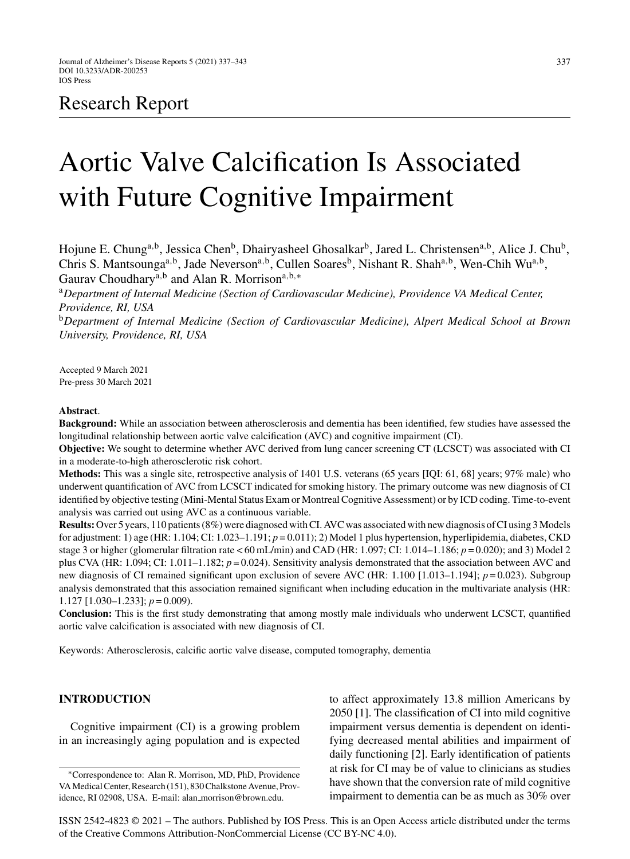# Research Report

# Aortic Valve Calcification Is Associated with Future Cognitive Impairment

Hojune E. Chung<sup>a,b</sup>, Jessica Chen<sup>b</sup>, Dhairyasheel Ghosalkar<sup>b</sup>, Jared L. Christensen<sup>a,b</sup>, Alice J. Chu<sup>b</sup>, Chris S. Mantsounga<sup>a,b</sup>, Jade Neverson<sup>a,b</sup>, Cullen Soares<sup>b</sup>, Nishant R. Shah<sup>a,b</sup>, Wen-Chih Wu<sup>a,b</sup>, Gaurav Choudhary<sup>a,b</sup> and Alan R. Morrison<sup>a,b,∗</sup>

<sup>a</sup>*Department of Internal Medicine (Section of Cardiovascular Medicine), Providence VA Medical Center, Providence, RI, USA*

<sup>b</sup>*Department of Internal Medicine (Section of Cardiovascular Medicine), Alpert Medical School at Brown University, Providence, RI, USA*

Accepted 9 March 2021 Pre-press 30 March 2021

#### **Abstract**.

**Background:** While an association between atherosclerosis and dementia has been identified, few studies have assessed the longitudinal relationship between aortic valve calcification (AVC) and cognitive impairment (CI).

**Objective:** We sought to determine whether AVC derived from lung cancer screening CT (LCSCT) was associated with CI in a moderate-to-high atherosclerotic risk cohort.

**Methods:** This was a single site, retrospective analysis of 1401 U.S. veterans (65 years [IQI: 61, 68] years; 97% male) who underwent quantification of AVC from LCSCT indicated for smoking history. The primary outcome was new diagnosis of CI identified by objective testing (Mini-Mental Status Exam or Montreal Cognitive Assessment) or by ICD coding. Time-to-event analysis was carried out using AVC as a continuous variable.

**Results:** Over 5 years, 110 patients (8%) were diagnosed with CI. AVC was associated with new diagnosis of CI using 3 Models for adjustment: 1) age (HR: 1.104; CI: 1.023–1.191; *p* = 0.011); 2) Model 1 plus hypertension, hyperlipidemia, diabetes, CKD stage 3 or higher (glomerular filtration rate < 60 mL/min) and CAD (HR: 1.097; CI: 1.014–1.186; *p* = 0.020); and 3) Model 2 plus CVA (HR: 1.094; CI: 1.011–1.182; *p* = 0.024). Sensitivity analysis demonstrated that the association between AVC and new diagnosis of CI remained significant upon exclusion of severe AVC (HR: 1.100 [1.013–1.194];  $p=0.023$ ). Subgroup analysis demonstrated that this association remained significant when including education in the multivariate analysis (HR: 1.127 [1.030–1.233]; *p* = 0.009).

**Conclusion:** This is the first study demonstrating that among mostly male individuals who underwent LCSCT, quantified aortic valve calcification is associated with new diagnosis of CI.

Keywords: Atherosclerosis, calcific aortic valve disease, computed tomography, dementia

# **INTRODUCTION**

Cognitive impairment (CI) is a growing problem in an increasingly aging population and is expected to affect approximately 13.8 million Americans by 2050 [1]. The classification of CI into mild cognitive impairment versus dementia is dependent on identifying decreased mental abilities and impairment of daily functioning [2]. Early identification of patients at risk for CI may be of value to clinicians as studies have shown that the conversion rate of mild cognitive impairment to dementia can be as much as 30% over

ISSN 2542-4823 © 2021 – The authors. Published by IOS Press. This is an Open Access article distributed under the terms of the [Creative Commons Attribution-NonCommercial License \(CC BY-NC 4.0\).](https://creativecommons.org/licenses/by-nc/4.0/)

<sup>∗</sup>Correspondence to: Alan R. Morrison, MD, PhD, Providence VA Medical Center, Research (151), 830 Chalkstone Avenue, Providence, RI 02908, USA. E-mail: alan [morrison@brown.edu](mailto:alan_morrison@brown.edu).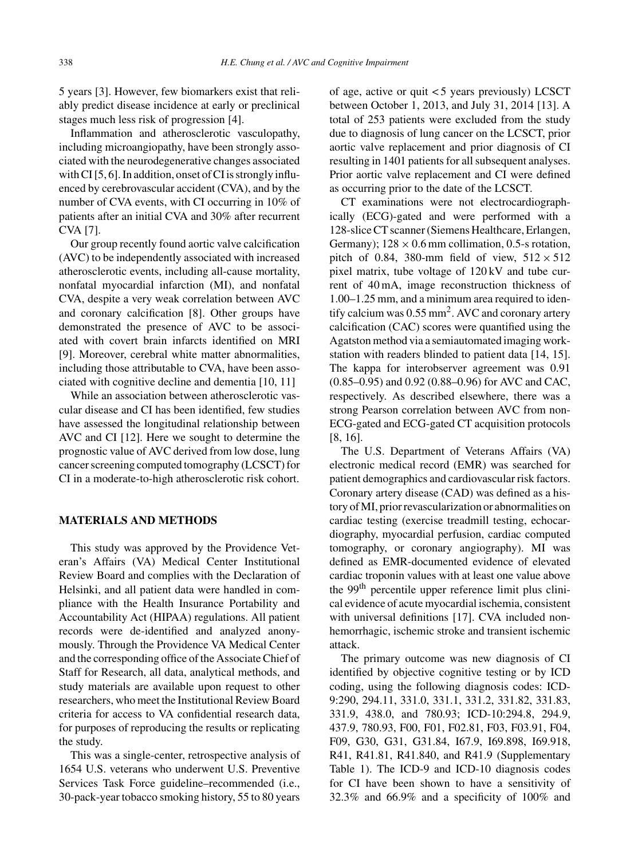5 years [3]. However, few biomarkers exist that reliably predict disease incidence at early or preclinical stages much less risk of progression [4].

Inflammation and atherosclerotic vasculopathy, including microangiopathy, have been strongly associated with the neurodegenerative changes associated with CI [5, 6]. In addition, onset of CI is strongly influenced by cerebrovascular accident (CVA), and by the number of CVA events, with CI occurring in 10% of patients after an initial CVA and 30% after recurrent CVA [7].

Our group recently found aortic valve calcification (AVC) to be independently associated with increased atherosclerotic events, including all-cause mortality, nonfatal myocardial infarction (MI), and nonfatal CVA, despite a very weak correlation between AVC and coronary calcification [8]. Other groups have demonstrated the presence of AVC to be associated with covert brain infarcts identified on MRI [9]. Moreover, cerebral white matter abnormalities, including those attributable to CVA, have been associated with cognitive decline and dementia [10, 11]

While an association between atherosclerotic vascular disease and CI has been identified, few studies have assessed the longitudinal relationship between AVC and CI [12]. Here we sought to determine the prognostic value of AVC derived from low dose, lung cancer screening computed tomography (LCSCT) for CI in a moderate-to-high atherosclerotic risk cohort.

### **MATERIALS AND METHODS**

This study was approved by the Providence Veteran's Affairs (VA) Medical Center Institutional Review Board and complies with the Declaration of Helsinki, and all patient data were handled in compliance with the Health Insurance Portability and Accountability Act (HIPAA) regulations. All patient records were de-identified and analyzed anonymously. Through the Providence VA Medical Center and the corresponding office of the Associate Chief of Staff for Research, all data, analytical methods, and study materials are available upon request to other researchers, who meet the Institutional Review Board criteria for access to VA confidential research data, for purposes of reproducing the results or replicating the study.

This was a single-center, retrospective analysis of 1654 U.S. veterans who underwent U.S. Preventive Services Task Force guideline–recommended (i.e., 30-pack-year tobacco smoking history, 55 to 80 years

of age, active or quit < 5 years previously) LCSCT between October 1, 2013, and July 31, 2014 [13]. A total of 253 patients were excluded from the study due to diagnosis of lung cancer on the LCSCT, prior aortic valve replacement and prior diagnosis of CI resulting in 1401 patients for all subsequent analyses. Prior aortic valve replacement and CI were defined as occurring prior to the date of the LCSCT.

CT examinations were not electrocardiographically (ECG)-gated and were performed with a 128-slice CT scanner (Siemens Healthcare, Erlangen, Germany);  $128 \times 0.6$  mm collimation, 0.5-s rotation, pitch of 0.84, 380-mm field of view,  $512 \times 512$ pixel matrix, tube voltage of 120 kV and tube current of 40 mA, image reconstruction thickness of 1.00–1.25 mm, and a minimum area required to identify calcium was  $0.55$  mm<sup>2</sup>. AVC and coronary artery calcification (CAC) scores were quantified using the Agatston method via a semiautomated imaging workstation with readers blinded to patient data [14, 15]. The kappa for interobserver agreement was 0.91 (0.85–0.95) and 0.92 (0.88–0.96) for AVC and CAC, respectively. As described elsewhere, there was a strong Pearson correlation between AVC from non-ECG-gated and ECG-gated CT acquisition protocols [8, 16].

The U.S. Department of Veterans Affairs (VA) electronic medical record (EMR) was searched for patient demographics and cardiovascular risk factors. Coronary artery disease (CAD) was defined as a history of MI, prior revascularization or abnormalities on cardiac testing (exercise treadmill testing, echocardiography, myocardial perfusion, cardiac computed tomography, or coronary angiography). MI was defined as EMR-documented evidence of elevated cardiac troponin values with at least one value above the 99<sup>th</sup> percentile upper reference limit plus clinical evidence of acute myocardial ischemia, consistent with universal definitions [17]. CVA included nonhemorrhagic, ischemic stroke and transient ischemic attack.

The primary outcome was new diagnosis of CI identified by objective cognitive testing or by ICD coding, using the following diagnosis codes: ICD-9:290, 294.11, 331.0, 331.1, 331.2, 331.82, 331.83, 331.9, 438.0, and 780.93; ICD-10:294.8, 294.9, 437.9, 780.93, F00, F01, F02.81, F03, F03.91, F04, F09, G30, G31, G31.84, I67.9, I69.898, I69.918, R41, R41.81, R41.840, and R41.9 (Supplementary Table 1). The ICD-9 and ICD-10 diagnosis codes for CI have been shown to have a sensitivity of 32.3% and 66.9% and a specificity of 100% and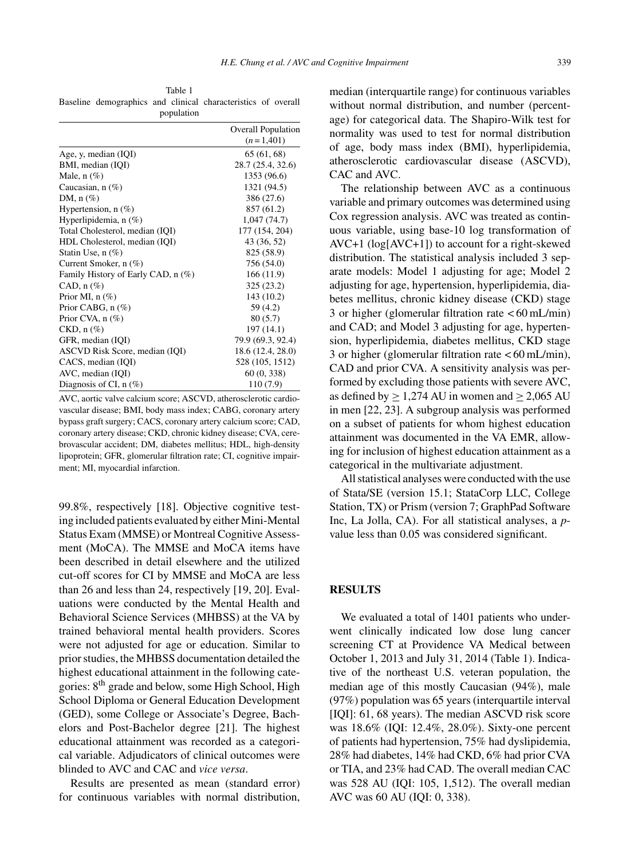Table 1 Baseline demographics and clinical characteristics of overall population

|                                    | <b>Overall Population</b><br>$(n=1,401)$ |
|------------------------------------|------------------------------------------|
| Age, y, median (IQI)               | 65(61, 68)                               |
| BMI, median (IQI)                  | 28.7 (25.4, 32.6)                        |
| Male, $n$ $(\%)$                   | 1353 (96.6)                              |
| Caucasian, $n(\%)$                 | 1321 (94.5)                              |
| DM, $n$ $(\%)$                     | 386 (27.6)                               |
| Hypertension, $n$ (%)              | 857 (61.2)                               |
| Hyperlipidemia, $n$ (%)            | 1,047(74.7)                              |
| Total Cholesterol, median (IQI)    | 177 (154, 204)                           |
| HDL Cholesterol, median (IQI)      | 43 (36, 52)                              |
| Statin Use, $n$ $(\%)$             | 825 (58.9)                               |
| Current Smoker, $n$ (%)            | 756 (54.0)                               |
| Family History of Early CAD, n (%) | 166(11.9)                                |
| CAD, $n$ $(\%)$                    | 325 (23.2)                               |
| Prior MI, $n$ (%)                  | 143 (10.2)                               |
| Prior CABG, $n$ $(\%)$             | 59 (4.2)                                 |
| Prior CVA, $n$ (%)                 | 80(5.7)                                  |
| $CKD, n(\%)$                       | 197 (14.1)                               |
| GFR, median (IQI)                  | 79.9 (69.3, 92.4)                        |
| ASCVD Risk Score, median (IQI)     | 18.6 (12.4, 28.0)                        |
| CACS, median (IQI)                 | 528 (105, 1512)                          |
| AVC, median (IQI)                  | 60(0, 338)                               |
| Diagnosis of CI, $n$ (%)           | 110 (7.9)                                |

AVC, aortic valve calcium score; ASCVD, atherosclerotic cardiovascular disease; BMI, body mass index; CABG, coronary artery bypass graft surgery; CACS, coronary artery calcium score; CAD, coronary artery disease; CKD, chronic kidney disease; CVA, cerebrovascular accident; DM, diabetes mellitus; HDL, high-density lipoprotein; GFR, glomerular filtration rate; CI, cognitive impairment; MI, myocardial infarction.

99.8%, respectively [18]. Objective cognitive testing included patients evaluated by either Mini-Mental Status Exam (MMSE) or Montreal Cognitive Assessment (MoCA). The MMSE and MoCA items have been described in detail elsewhere and the utilized cut-off scores for CI by MMSE and MoCA are less than 26 and less than 24, respectively [19, 20]. Evaluations were conducted by the Mental Health and Behavioral Science Services (MHBSS) at the VA by trained behavioral mental health providers. Scores were not adjusted for age or education. Similar to prior studies, the MHBSS documentation detailed the highest educational attainment in the following categories: 8th grade and below, some High School, High School Diploma or General Education Development (GED), some College or Associate's Degree, Bachelors and Post-Bachelor degree [21]. The highest educational attainment was recorded as a categorical variable. Adjudicators of clinical outcomes were blinded to AVC and CAC and *vice versa*.

Results are presented as mean (standard error) for continuous variables with normal distribution,

median (interquartile range) for continuous variables without normal distribution, and number (percentage) for categorical data. The Shapiro-Wilk test for normality was used to test for normal distribution of age, body mass index (BMI), hyperlipidemia, atherosclerotic cardiovascular disease (ASCVD), CAC and AVC.

The relationship between AVC as a continuous variable and primary outcomes was determined using Cox regression analysis. AVC was treated as continuous variable, using base-10 log transformation of AVC+1 (log[AVC+1]) to account for a right-skewed distribution. The statistical analysis included 3 separate models: Model 1 adjusting for age; Model 2 adjusting for age, hypertension, hyperlipidemia, diabetes mellitus, chronic kidney disease (CKD) stage 3 or higher (glomerular filtration rate < 60 mL/min) and CAD; and Model 3 adjusting for age, hypertension, hyperlipidemia, diabetes mellitus, CKD stage 3 or higher (glomerular filtration rate < 60 mL/min), CAD and prior CVA. A sensitivity analysis was performed by excluding those patients with severe AVC, as defined by  $\geq 1,274$  AU in women and  $\geq 2,065$  AU in men [22, 23]. A subgroup analysis was performed on a subset of patients for whom highest education attainment was documented in the VA EMR, allowing for inclusion of highest education attainment as a categorical in the multivariate adjustment.

All statistical analyses were conducted with the use of Stata/SE (version 15.1; StataCorp LLC, College Station, TX) or Prism (version 7; GraphPad Software Inc, La Jolla, CA). For all statistical analyses, a *p*value less than 0.05 was considered significant.

#### **RESULTS**

We evaluated a total of 1401 patients who underwent clinically indicated low dose lung cancer screening CT at Providence VA Medical between October 1, 2013 and July 31, 2014 (Table 1). Indicative of the northeast U.S. veteran population, the median age of this mostly Caucasian (94%), male (97%) population was 65 years (interquartile interval [IQI]: 61, 68 years). The median ASCVD risk score was 18.6% (IQI: 12.4%, 28.0%). Sixty-one percent of patients had hypertension, 75% had dyslipidemia, 28% had diabetes, 14% had CKD, 6% had prior CVA or TIA, and 23% had CAD. The overall median CAC was 528 AU (IQI: 105, 1,512). The overall median AVC was 60 AU (IQI: 0, 338).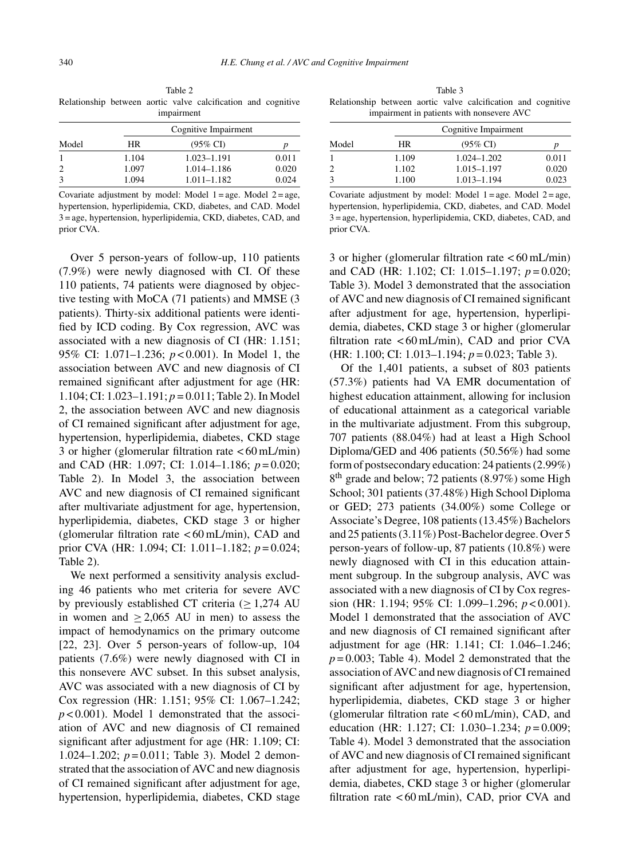Table 2 Relationship between aortic valve calcification and cognitive impairment

| D     |
|-------|
| 0.011 |
| 0.020 |
| 0.024 |
|       |

Covariate adjustment by model: Model  $1 = age$ . Model  $2 = age$ , hypertension, hyperlipidemia, CKD, diabetes, and CAD. Model 3 = age, hypertension, hyperlipidemia, CKD, diabetes, CAD, and prior CVA.

Over 5 person-years of follow-up, 110 patients (7.9%) were newly diagnosed with CI. Of these 110 patients, 74 patients were diagnosed by objective testing with MoCA (71 patients) and MMSE (3 patients). Thirty-six additional patients were identified by ICD coding. By Cox regression, AVC was associated with a new diagnosis of CI (HR: 1.151; 95% CI: 1.071–1.236; *p* < 0.001). In Model 1, the association between AVC and new diagnosis of CI remained significant after adjustment for age (HR: 1.104; CI: 1.023–1.191; *p* = 0.011; Table 2). In Model 2, the association between AVC and new diagnosis of CI remained significant after adjustment for age, hypertension, hyperlipidemia, diabetes, CKD stage 3 or higher (glomerular filtration rate  $\lt 60$  mL/min) and CAD (HR: 1.097; CI: 1.014–1.186; *p* = 0.020; Table 2). In Model 3, the association between AVC and new diagnosis of CI remained significant after multivariate adjustment for age, hypertension, hyperlipidemia, diabetes, CKD stage 3 or higher (glomerular filtration rate  $< 60$  mL/min), CAD and prior CVA (HR: 1.094; CI: 1.011–1.182; *p* = 0.024; Table 2).

We next performed a sensitivity analysis excluding 46 patients who met criteria for severe AVC by previously established CT criteria  $(>1,274 \text{ AU})$ in women and  $\geq 2,065$  AU in men) to assess the impact of hemodynamics on the primary outcome [22, 23]. Over 5 person-years of follow-up, 104 patients (7.6%) were newly diagnosed with CI in this nonsevere AVC subset. In this subset analysis, AVC was associated with a new diagnosis of CI by Cox regression (HR: 1.151; 95% CI: 1.067–1.242;  $p < 0.001$ ). Model 1 demonstrated that the association of AVC and new diagnosis of CI remained significant after adjustment for age (HR: 1.109; CI: 1.024–1.202; *p* = 0.011; Table 3). Model 2 demonstrated that the association of AVC and new diagnosis of CI remained significant after adjustment for age, hypertension, hyperlipidemia, diabetes, CKD stage

Table 3 Relationship between aortic valve calcification and cognitive impairment in patients with nonsevere AVC

|                | Cognitive Impairment |                     |       |  |
|----------------|----------------------|---------------------|-------|--|
| Model          | <b>HR</b>            | $(95\% \text{ CI})$ | D     |  |
|                | 1.109                | $1.024 - 1.202$     | 0.011 |  |
| $\overline{c}$ | 1.102                | 1.015-1.197         | 0.020 |  |
| 3              | 1.100                | 1.013-1.194         | 0.023 |  |

Covariate adjustment by model: Model  $1 = age$ . Model  $2 = age$ , hypertension, hyperlipidemia, CKD, diabetes, and CAD. Model 3 = age, hypertension, hyperlipidemia, CKD, diabetes, CAD, and prior CVA.

3 or higher (glomerular filtration rate < 60 mL/min) and CAD (HR: 1.102; CI: 1.015–1.197; *p* = 0.020; Table 3). Model 3 demonstrated that the association of AVC and new diagnosis of CI remained significant after adjustment for age, hypertension, hyperlipidemia, diabetes, CKD stage 3 or higher (glomerular filtration rate  $\lt 60$  mL/min), CAD and prior CVA (HR: 1.100; CI: 1.013–1.194; *p* = 0.023; Table 3).

Of the 1,401 patients, a subset of 803 patients (57.3%) patients had VA EMR documentation of highest education attainment, allowing for inclusion of educational attainment as a categorical variable in the multivariate adjustment. From this subgroup, 707 patients (88.04%) had at least a High School Diploma/GED and 406 patients (50.56%) had some form of postsecondary education: 24 patients (2.99%) 8<sup>th</sup> grade and below; 72 patients (8.97%) some High School; 301 patients (37.48%) High School Diploma or GED; 273 patients (34.00%) some College or Associate's Degree, 108 patients (13.45%) Bachelors and 25 patients (3.11%) Post-Bachelor degree. Over 5 person-years of follow-up, 87 patients (10.8%) were newly diagnosed with CI in this education attainment subgroup. In the subgroup analysis, AVC was associated with a new diagnosis of CI by Cox regression (HR: 1.194; 95% CI: 1.099–1.296; *p* < 0.001). Model 1 demonstrated that the association of AVC and new diagnosis of CI remained significant after adjustment for age (HR: 1.141; CI: 1.046–1.246;  $p = 0.003$ ; Table 4). Model 2 demonstrated that the association of AVC and new diagnosis of CI remained significant after adjustment for age, hypertension, hyperlipidemia, diabetes, CKD stage 3 or higher (glomerular filtration rate  $<60$  mL/min), CAD, and education (HR: 1.127; CI: 1.030–1.234; *p* = 0.009; Table 4). Model 3 demonstrated that the association of AVC and new diagnosis of CI remained significant after adjustment for age, hypertension, hyperlipidemia, diabetes, CKD stage 3 or higher (glomerular filtration rate  $< 60$  mL/min), CAD, prior CVA and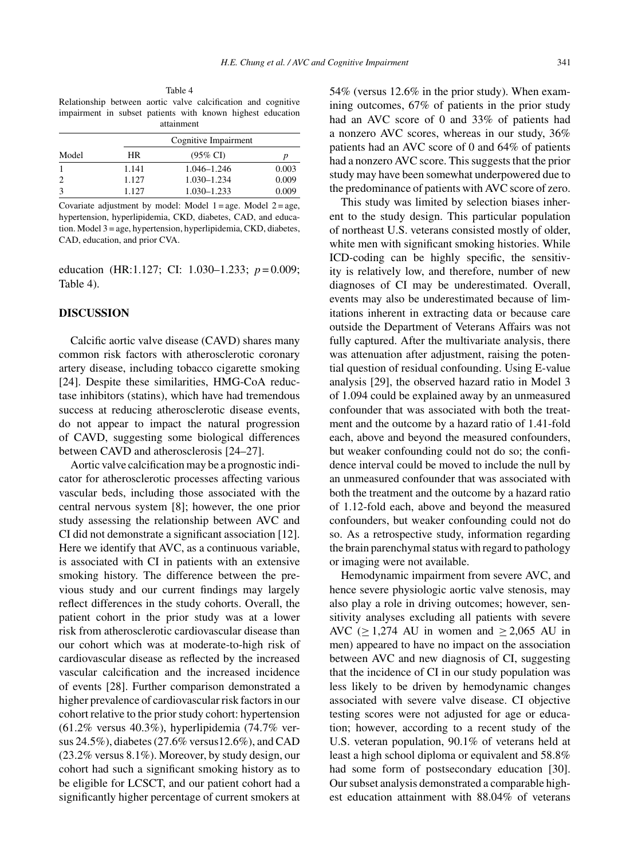Table 4 Relationship between aortic valve calcification and cognitive impairment in subset patients with known highest education attainment

| Model | Cognitive Impairment |                     |       |  |
|-------|----------------------|---------------------|-------|--|
|       | HR                   | $(95\% \text{ CI})$ |       |  |
|       | 1.141                | 1.046–1.246         | 0.003 |  |
| 2     | 1.127                | 1.030-1.234         | 0.009 |  |
| 3     | 1.127                | $1.030 - 1.233$     | 0.009 |  |

Covariate adjustment by model: Model  $1 = age$ . Model  $2 = age$ , hypertension, hyperlipidemia, CKD, diabetes, CAD, and education. Model 3 = age, hypertension, hyperlipidemia, CKD, diabetes, CAD, education, and prior CVA.

education (HR:1.127; CI: 1.030–1.233; *p* = 0.009; Table 4).

# **DISCUSSION**

Calcific aortic valve disease (CAVD) shares many common risk factors with atherosclerotic coronary artery disease, including tobacco cigarette smoking [24]. Despite these similarities, HMG-CoA reductase inhibitors (statins), which have had tremendous success at reducing atherosclerotic disease events, do not appear to impact the natural progression of CAVD, suggesting some biological differences between CAVD and atherosclerosis [24–27].

Aortic valve calcification may be a prognostic indicator for atherosclerotic processes affecting various vascular beds, including those associated with the central nervous system [8]; however, the one prior study assessing the relationship between AVC and CI did not demonstrate a significant association [12]. Here we identify that AVC, as a continuous variable, is associated with CI in patients with an extensive smoking history. The difference between the previous study and our current findings may largely reflect differences in the study cohorts. Overall, the patient cohort in the prior study was at a lower risk from atherosclerotic cardiovascular disease than our cohort which was at moderate-to-high risk of cardiovascular disease as reflected by the increased vascular calcification and the increased incidence of events [28]. Further comparison demonstrated a higher prevalence of cardiovascular risk factors in our cohort relative to the prior study cohort: hypertension (61.2% versus 40.3%), hyperlipidemia (74.7% versus 24.5%), diabetes (27.6% versus12.6%), and CAD (23.2% versus 8.1%). Moreover, by study design, our cohort had such a significant smoking history as to be eligible for LCSCT, and our patient cohort had a significantly higher percentage of current smokers at

54% (versus 12.6% in the prior study). When examining outcomes, 67% of patients in the prior study had an AVC score of 0 and 33% of patients had a nonzero AVC scores, whereas in our study, 36% patients had an AVC score of 0 and 64% of patients had a nonzero AVC score. This suggests that the prior study may have been somewhat underpowered due to the predominance of patients with AVC score of zero.

This study was limited by selection biases inherent to the study design. This particular population of northeast U.S. veterans consisted mostly of older, white men with significant smoking histories. While ICD-coding can be highly specific, the sensitivity is relatively low, and therefore, number of new diagnoses of CI may be underestimated. Overall, events may also be underestimated because of limitations inherent in extracting data or because care outside the Department of Veterans Affairs was not fully captured. After the multivariate analysis, there was attenuation after adjustment, raising the potential question of residual confounding. Using E-value analysis [29], the observed hazard ratio in Model 3 of 1.094 could be explained away by an unmeasured confounder that was associated with both the treatment and the outcome by a hazard ratio of 1.41-fold each, above and beyond the measured confounders, but weaker confounding could not do so; the confidence interval could be moved to include the null by an unmeasured confounder that was associated with both the treatment and the outcome by a hazard ratio of 1.12-fold each, above and beyond the measured confounders, but weaker confounding could not do so. As a retrospective study, information regarding the brain parenchymal status with regard to pathology or imaging were not available.

Hemodynamic impairment from severe AVC, and hence severe physiologic aortic valve stenosis, may also play a role in driving outcomes; however, sensitivity analyses excluding all patients with severe AVC ( $\geq$  1,274 AU in women and  $\geq$  2,065 AU in men) appeared to have no impact on the association between AVC and new diagnosis of CI, suggesting that the incidence of CI in our study population was less likely to be driven by hemodynamic changes associated with severe valve disease. CI objective testing scores were not adjusted for age or education; however, according to a recent study of the U.S. veteran population, 90.1% of veterans held at least a high school diploma or equivalent and 58.8% had some form of postsecondary education [30]. Our subset analysis demonstrated a comparable highest education attainment with 88.04% of veterans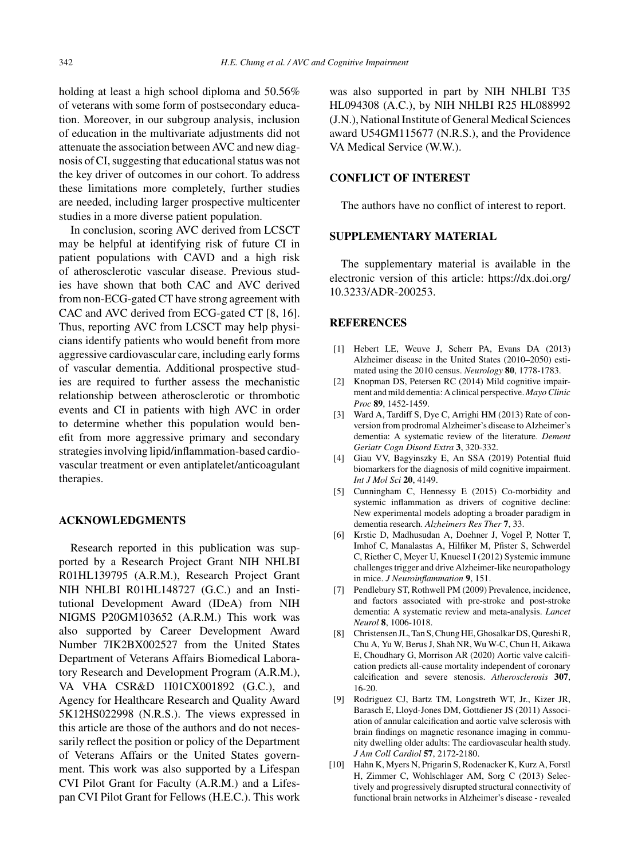holding at least a high school diploma and 50.56% of veterans with some form of postsecondary education. Moreover, in our subgroup analysis, inclusion of education in the multivariate adjustments did not attenuate the association between AVC and new diagnosis of CI, suggesting that educational status was not the key driver of outcomes in our cohort. To address these limitations more completely, further studies are needed, including larger prospective multicenter studies in a more diverse patient population.

In conclusion, scoring AVC derived from LCSCT may be helpful at identifying risk of future CI in patient populations with CAVD and a high risk of atherosclerotic vascular disease. Previous studies have shown that both CAC and AVC derived from non-ECG-gated CT have strong agreement with CAC and AVC derived from ECG-gated CT [8, 16]. Thus, reporting AVC from LCSCT may help physicians identify patients who would benefit from more aggressive cardiovascular care, including early forms of vascular dementia. Additional prospective studies are required to further assess the mechanistic relationship between atherosclerotic or thrombotic events and CI in patients with high AVC in order to determine whether this population would benefit from more aggressive primary and secondary strategies involving lipid/inflammation-based cardiovascular treatment or even antiplatelet/anticoagulant therapies.

#### **ACKNOWLEDGMENTS**

Research reported in this publication was supported by a Research Project Grant NIH NHLBI R01HL139795 (A.R.M.), Research Project Grant NIH NHLBI R01HL148727 (G.C.) and an Institutional Development Award (IDeA) from NIH NIGMS P20GM103652 (A.R.M.) This work was also supported by Career Development Award Number 7IK2BX002527 from the United States Department of Veterans Affairs Biomedical Laboratory Research and Development Program (A.R.M.), VA VHA CSR&D 1I01CX001892 (G.C.), and Agency for Healthcare Research and Quality Award 5K12HS022998 (N.R.S.). The views expressed in this article are those of the authors and do not necessarily reflect the position or policy of the Department of Veterans Affairs or the United States government. This work was also supported by a Lifespan CVI Pilot Grant for Faculty (A.R.M.) and a Lifespan CVI Pilot Grant for Fellows (H.E.C.). This work

was also supported in part by NIH NHLBI T35 HL094308 (A.C.), by NIH NHLBI R25 HL088992 (J.N.), National Institute of General Medical Sciences award U54GM115677 (N.R.S.), and the Providence VA Medical Service (W.W.).

# **CONFLICT OF INTEREST**

The authors have no conflict of interest to report.

# **SUPPLEMENTARY MATERIAL**

The supplementary material is available in the electronic version of this article: [https://dx.doi.org/](https://dx.doi.org/10.3233/ADR-200253) 10.3233/ADR-200253.

#### **REFERENCES**

- [1] Hebert LE, Weuve J, Scherr PA, Evans DA (2013) Alzheimer disease in the United States (2010–2050) estimated using the 2010 census. *Neurology* **80**, 1778-1783.
- [2] Knopman DS, Petersen RC (2014) Mild cognitive impairment and mild dementia: A clinical perspective. *Mayo Clinic Proc* **89**, 1452-1459.
- [3] Ward A, Tardiff S, Dye C, Arrighi HM (2013) Rate of conversion from prodromal Alzheimer's disease to Alzheimer's dementia: A systematic review of the literature. *Dement Geriatr Cogn Disord Extra* **3**, 320-332.
- [4] Giau VV, Bagyinszky E, An SSA (2019) Potential fluid biomarkers for the diagnosis of mild cognitive impairment. *Int J Mol Sci* **20**, 4149.
- [5] Cunningham C, Hennessy E (2015) Co-morbidity and systemic inflammation as drivers of cognitive decline: New experimental models adopting a broader paradigm in dementia research. *Alzheimers Res Ther* **7**, 33.
- [6] Krstic D, Madhusudan A, Doehner J, Vogel P, Notter T, Imhof C, Manalastas A, Hilfiker M, Pfister S, Schwerdel C, Riether C, Meyer U, Knuesel I (2012) Systemic immune challenges trigger and drive Alzheimer-like neuropathology in mice. *J Neuroinflammation* **9**, 151.
- [7] Pendlebury ST, Rothwell PM (2009) Prevalence, incidence, and factors associated with pre-stroke and post-stroke dementia: A systematic review and meta-analysis. *Lancet Neurol* **8**, 1006-1018.
- [8] Christensen JL, Tan S, Chung HE, Ghosalkar DS, Qureshi R, Chu A, Yu W, Berus J, Shah NR, Wu W-C, Chun H, Aikawa E, Choudhary G, Morrison AR (2020) Aortic valve calcification predicts all-cause mortality independent of coronary calcification and severe stenosis. *Atherosclerosis* **307**, 16-20.
- [9] Rodriguez CJ, Bartz TM, Longstreth WT, Jr., Kizer JR, Barasch E, Lloyd-Jones DM, Gottdiener JS (2011) Association of annular calcification and aortic valve sclerosis with brain findings on magnetic resonance imaging in community dwelling older adults: The cardiovascular health study. *J Am Coll Cardiol* **57**, 2172-2180.
- [10] Hahn K, Myers N, Prigarin S, Rodenacker K, Kurz A, Forstl H, Zimmer C, Wohlschlager AM, Sorg C (2013) Selectively and progressively disrupted structural connectivity of functional brain networks in Alzheimer's disease - revealed